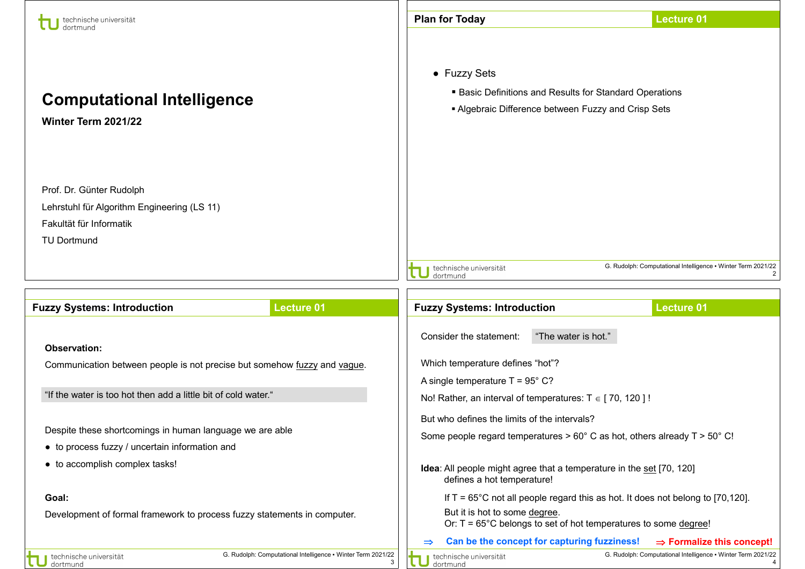| technische universität                                                                                                                       |                                                                   | <b>Plan for Today</b>                                                                                                                        |                                                                                          | <b>Lecture 01</b>                                            |
|----------------------------------------------------------------------------------------------------------------------------------------------|-------------------------------------------------------------------|----------------------------------------------------------------------------------------------------------------------------------------------|------------------------------------------------------------------------------------------|--------------------------------------------------------------|
| <b>Computational Intelligence</b><br>Winter Term 2021/22                                                                                     |                                                                   | • Fuzzy Sets<br><b>Basic Definitions and Results for Standard Operations</b><br>Algebraic Difference between Fuzzy and Crisp Sets            |                                                                                          |                                                              |
| Prof. Dr. Günter Rudolph                                                                                                                     |                                                                   |                                                                                                                                              |                                                                                          |                                                              |
| Lehrstuhl für Algorithm Engineering (LS 11)                                                                                                  |                                                                   |                                                                                                                                              |                                                                                          |                                                              |
| Fakultät für Informatik<br><b>TU Dortmund</b>                                                                                                |                                                                   |                                                                                                                                              |                                                                                          |                                                              |
|                                                                                                                                              |                                                                   |                                                                                                                                              |                                                                                          |                                                              |
|                                                                                                                                              |                                                                   | technische universität<br>dortmund                                                                                                           |                                                                                          | G. Rudolph: Computational Intelligence • Winter Term 2021/22 |
|                                                                                                                                              |                                                                   |                                                                                                                                              |                                                                                          |                                                              |
| <b>Lecture 01</b><br><b>Fuzzy Systems: Introduction</b>                                                                                      |                                                                   | <b>Fuzzy Systems: Introduction</b>                                                                                                           |                                                                                          | <b>Lecture 01</b>                                            |
|                                                                                                                                              |                                                                   | Consider the statement:                                                                                                                      | "The water is hot."                                                                      |                                                              |
| <b>Observation:</b>                                                                                                                          |                                                                   |                                                                                                                                              |                                                                                          |                                                              |
| Communication between people is not precise but somehow fuzzy and vague.                                                                     |                                                                   | Which temperature defines "hot"?<br>A single temperature $T = 95^{\circ}$ C?<br>No! Rather, an interval of temperatures: $T \in [70, 120]$ ! |                                                                                          |                                                              |
|                                                                                                                                              |                                                                   |                                                                                                                                              |                                                                                          |                                                              |
| "If the water is too hot then add a little bit of cold water."                                                                               |                                                                   |                                                                                                                                              |                                                                                          |                                                              |
|                                                                                                                                              |                                                                   | But who defines the limits of the intervals?                                                                                                 |                                                                                          |                                                              |
| Despite these shortcomings in human language we are able<br>• to process fuzzy / uncertain information and<br>• to accomplish complex tasks! |                                                                   | Some people regard temperatures $> 60^{\circ}$ C as hot, others already T $> 50^{\circ}$ C!                                                  |                                                                                          |                                                              |
|                                                                                                                                              |                                                                   |                                                                                                                                              |                                                                                          |                                                              |
|                                                                                                                                              |                                                                   | defines a hot temperature!                                                                                                                   | <b>Idea:</b> All people might agree that a temperature in the set [70, 120]              |                                                              |
| Goal:<br>Development of formal framework to process fuzzy statements in computer.                                                            |                                                                   |                                                                                                                                              | If $T = 65^{\circ}$ C not all people regard this as hot. It does not belong to [70,120]. |                                                              |
|                                                                                                                                              |                                                                   | But it is hot to some degree.                                                                                                                | Or: T = 65°C belongs to set of hot temperatures to some degree!                          |                                                              |
|                                                                                                                                              |                                                                   | $\Rightarrow$                                                                                                                                | Can be the concept for capturing fuzziness!                                              | $\Rightarrow$ Formalize this concept!                        |
| technische universität<br>dortmund                                                                                                           | G. Rudolph: Computational Intelligence . Winter Term 2021/22<br>3 | technische universität<br>dortmund                                                                                                           |                                                                                          | G. Rudolph: Computational Intelligence . Winter Term 2021/22 |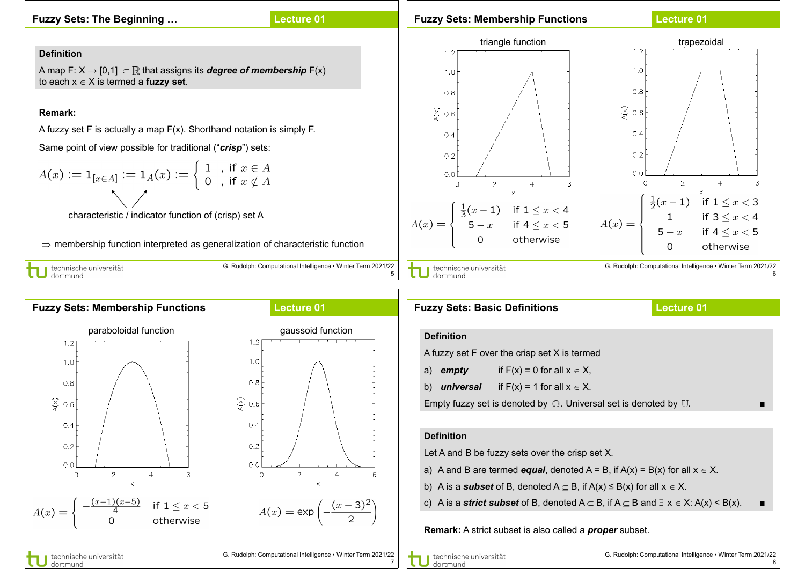## **Fuzzy Sets: The Beginning …**

dortmund

## **Lecture 01**

## **Fuzzy Sets: Membership Functions**

## **Lecture 01**





| <b>Lecture 01</b><br><b>Fuzzy Sets: Basic Definitions</b>                                                                  |  |                                                |  |  |  |  |
|----------------------------------------------------------------------------------------------------------------------------|--|------------------------------------------------|--|--|--|--|
|                                                                                                                            |  |                                                |  |  |  |  |
| <b>Definition</b>                                                                                                          |  |                                                |  |  |  |  |
| A fuzzy set F over the crisp set X is termed                                                                               |  |                                                |  |  |  |  |
| a)                                                                                                                         |  | <b>empty</b> if $F(x) = 0$ for all $x \in X$ , |  |  |  |  |
| <b>universal</b> if $F(x) = 1$ for all $x \in X$ .<br>b)                                                                   |  |                                                |  |  |  |  |
| Empty fuzzy set is denoted by $\mathbb O$ . Universal set is denoted by $\mathbb U$ .                                      |  |                                                |  |  |  |  |
|                                                                                                                            |  |                                                |  |  |  |  |
| <b>Definition</b>                                                                                                          |  |                                                |  |  |  |  |
| Let A and B be fuzzy sets over the crisp set X.                                                                            |  |                                                |  |  |  |  |
| a) A and B are termed <b>equal</b> , denoted $A = B$ , if $A(x) = B(x)$ for all $x \in X$ .                                |  |                                                |  |  |  |  |
| b) A is a <b>subset</b> of B, denoted A $\subseteq$ B, if A(x) $\leq$ B(x) for all $x \in X$ .                             |  |                                                |  |  |  |  |
| c) A is a <b>strict subset</b> of B, denoted $A \subset B$ , if $A \subseteq B$ and $\exists x \in X$ : $A(x) \leq B(x)$ . |  |                                                |  |  |  |  |
| <b>Remark:</b> A strict subset is also called a <b>proper</b> subset.                                                      |  |                                                |  |  |  |  |

7

6

 $\epsilon$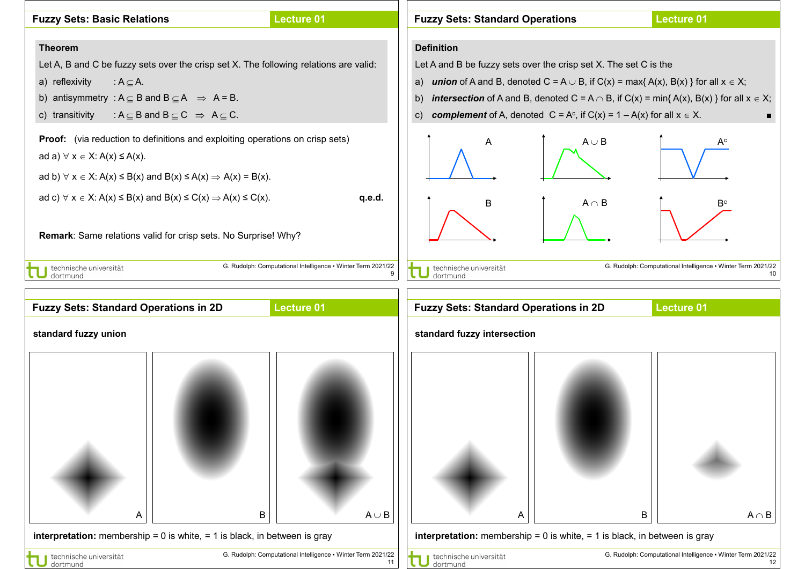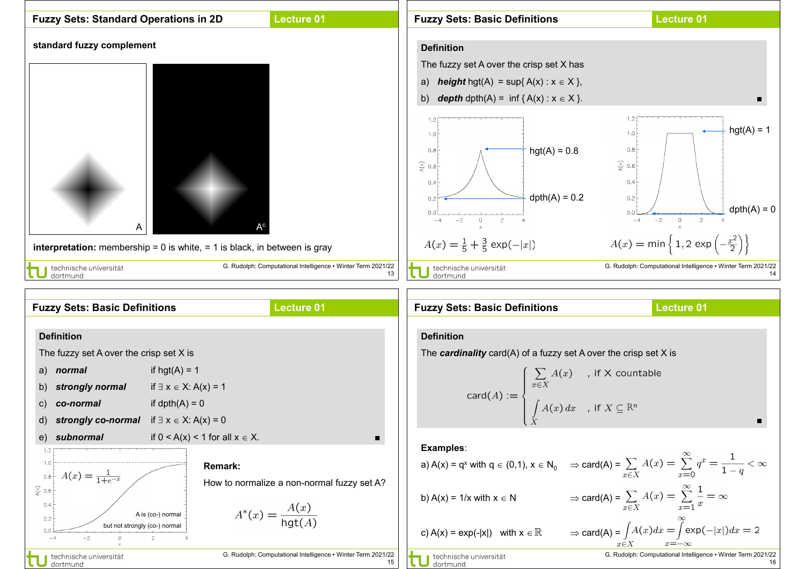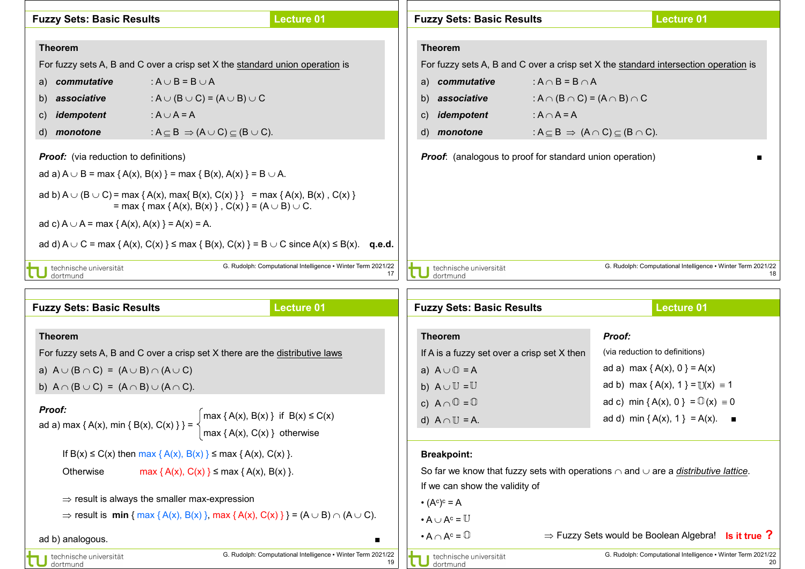| <b>Lecture 01</b><br><b>Fuzzy Sets: Basic Results</b>                                                                                                   |                                                                 |                                                                                     | <b>Fuzzy Sets: Basic Results</b> |                                    | <b>Lecture 01</b>                                               |                                                              |
|---------------------------------------------------------------------------------------------------------------------------------------------------------|-----------------------------------------------------------------|-------------------------------------------------------------------------------------|----------------------------------|------------------------------------|-----------------------------------------------------------------|--------------------------------------------------------------|
|                                                                                                                                                         |                                                                 |                                                                                     |                                  |                                    |                                                                 |                                                              |
| <b>Theorem</b>                                                                                                                                          |                                                                 |                                                                                     | <b>Theorem</b>                   |                                    |                                                                 |                                                              |
| For fuzzy sets A, B and C over a crisp set X the standard union operation is                                                                            |                                                                 | For fuzzy sets A, B and C over a crisp set X the standard intersection operation is |                                  |                                    |                                                                 |                                                              |
| a) commutative                                                                                                                                          | : $A \cup B = B \cup A$                                         |                                                                                     |                                  | a) commutative                     | $: A \cap B = B \cap A$                                         |                                                              |
| b) associative                                                                                                                                          | : A $\cup$ (B $\cup$ C) = (A $\cup$ B) $\cup$ C                 |                                                                                     |                                  | b)<br>associative                  | : $A \cap (B \cap C) = (A \cap B) \cap C$                       |                                                              |
| idempotent<br>$\mathsf{C}$                                                                                                                              | : $A \cup A = A$                                                |                                                                                     |                                  | idempotent<br>$\mathsf{C}$         | : $A \cap A = A$                                                |                                                              |
| d) <i>monotone</i>                                                                                                                                      | : $A \subseteq B \Rightarrow (A \cup C) \subseteq (B \cup C)$ . |                                                                                     |                                  | $\mathsf{d}$<br>monotone           | : $A \subseteq B \Rightarrow (A \cap C) \subseteq (B \cap C)$ . |                                                              |
| <b>Proof:</b> (via reduction to definitions)                                                                                                            |                                                                 |                                                                                     |                                  |                                    | <b>Proof:</b> (analogous to proof for standard union operation) |                                                              |
| ad a) $A \cup B = max \{ A(x), B(x) \} = max \{ B(x), A(x) \} = B \cup A$ .                                                                             |                                                                 |                                                                                     |                                  |                                    |                                                                 |                                                              |
| ad b) A $\cup$ (B $\cup$ C) = max { A(x), max{ B(x), C(x) } } = max { A(x), B(x), C(x) }<br>= max { max { A(x), B(x) }, C(x) } = (A $\cup$ B) $\cup$ C. |                                                                 |                                                                                     |                                  |                                    |                                                                 |                                                              |
| ad c) $A \cup A = max \{ A(x), A(x) \} = A(x) = A$ .                                                                                                    |                                                                 |                                                                                     |                                  |                                    |                                                                 |                                                              |
| ad d) $A \cup C = \max \{A(x), C(x)\} \le \max \{B(x), C(x)\} = B \cup C$ since $A(x) \le B(x)$ . q.e.d.                                                |                                                                 |                                                                                     |                                  |                                    |                                                                 |                                                              |
| ■ technische universität<br>dortmund                                                                                                                    |                                                                 | G. Rudolph: Computational Intelligence . Winter Term 2021/22                        |                                  | technische universität<br>dortmund |                                                                 | G. Rudolph: Computational Intelligence • Winter Term 2021/22 |
|                                                                                                                                                         |                                                                 |                                                                                     |                                  |                                    |                                                                 |                                                              |

| <b>Lecture 01</b><br><b>Fuzzy Sets: Basic Results</b>                                                                                            |                                                                    | <b>Fuzzy Sets: Basic Results</b>                                                                     | <b>Lecture 01</b>                                                  |  |  |  |
|--------------------------------------------------------------------------------------------------------------------------------------------------|--------------------------------------------------------------------|------------------------------------------------------------------------------------------------------|--------------------------------------------------------------------|--|--|--|
|                                                                                                                                                  |                                                                    |                                                                                                      |                                                                    |  |  |  |
| <b>Theorem</b>                                                                                                                                   |                                                                    | <b>Theorem</b>                                                                                       | <b>Proof:</b>                                                      |  |  |  |
| For fuzzy sets A, B and C over a crisp set X there are the distributive laws                                                                     |                                                                    | If A is a fuzzy set over a crisp set $X$ then                                                        | (via reduction to definitions)                                     |  |  |  |
| a) $A \cup (B \cap C) = (A \cup B) \cap (A \cup C)$                                                                                              |                                                                    | a) $A \cup \mathbb{O} = A$                                                                           | ad a) max { $A(x)$ , 0 } = $A(x)$                                  |  |  |  |
| b) $A \cap (B \cup C) = (A \cap B) \cup (A \cap C)$ .                                                                                            |                                                                    | b) $A \cup U = U$                                                                                    | ad b) max { A(x), 1 } = $\mathbb{U}(x) = 1$                        |  |  |  |
| <b>Proof:</b>                                                                                                                                    |                                                                    | c) $A \cap \mathbb{O} = \mathbb{O}$                                                                  | ad c) min { A(x), 0 } = $\mathbb{O}(x) = 0$                        |  |  |  |
| $\vert$ max { A(x), B(x) } if B(x) $\leq$ C(x)<br>ad a) max { A(x), min { B(x), C(x) } } = $\frac{1}{2}$<br>$\vert$ max { A(x), C(x) } otherwise |                                                                    | d) $A \cap U = A$ .                                                                                  | ad d) min { A(x), 1 } = A(x). ■                                    |  |  |  |
| If B(x) $\leq$ C(x) then max { A(x), B(x) } $\leq$ max { A(x), C(x) }.<br>Otherwise<br>max { A(x), C(x) } $\leq$ max { A(x), B(x) }.             |                                                                    | <b>Breakpoint:</b>                                                                                   |                                                                    |  |  |  |
|                                                                                                                                                  |                                                                    | So far we know that fuzzy sets with operations $\cap$ and $\cup$ are a <i>distributive lattice</i> . |                                                                    |  |  |  |
|                                                                                                                                                  |                                                                    | If we can show the validity of                                                                       |                                                                    |  |  |  |
| $\Rightarrow$ result is always the smaller max-expression                                                                                        |                                                                    | $\bullet$ (A <sup>c</sup> ) <sup>c</sup> = A                                                         |                                                                    |  |  |  |
| $\Rightarrow$ result is min { max { A(x), B(x) }, max { A(x), C(x) } } = (A $\cup$ B) $\cap$ (A $\cup$ C).                                       |                                                                    | $\cdot A \cup A^c = \mathbb{U}$                                                                      |                                                                    |  |  |  |
| ad b) analogous.                                                                                                                                 |                                                                    | $\bullet$ A $\cap$ A <sup>c</sup> = $\mathbb{O}$                                                     | $\Rightarrow$ Fuzzy Sets would be Boolean Algebra! Is it true ?    |  |  |  |
| technische universität<br>dortmund                                                                                                               | G. Rudolph: Computational Intelligence • Winter Term 2021/22<br>19 | technische universität<br>dortmund                                                                   | G. Rudolph: Computational Intelligence • Winter Term 2021/22<br>20 |  |  |  |